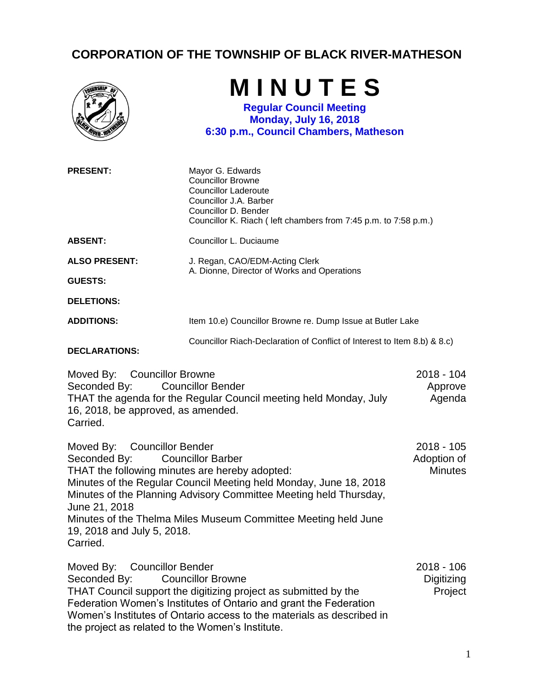## **CORPORATION OF THE TOWNSHIP OF BLACK RIVER-MATHESON**

|                                                                                                                                                          | MINUTES<br><b>Regular Council Meeting</b><br><b>Monday, July 16, 2018</b><br>6:30 p.m., Council Chambers, Matheson                                                                                                                   |                                               |
|----------------------------------------------------------------------------------------------------------------------------------------------------------|--------------------------------------------------------------------------------------------------------------------------------------------------------------------------------------------------------------------------------------|-----------------------------------------------|
| <b>PRESENT:</b>                                                                                                                                          | Mayor G. Edwards<br><b>Councillor Browne</b><br><b>Councillor Laderoute</b><br>Councillor J.A. Barber<br>Councillor D. Bender<br>Councillor K. Riach (left chambers from 7:45 p.m. to 7:58 p.m.)                                     |                                               |
| <b>ABSENT:</b>                                                                                                                                           | Councillor L. Duciaume                                                                                                                                                                                                               |                                               |
| <b>ALSO PRESENT:</b><br><b>GUESTS:</b>                                                                                                                   | J. Regan, CAO/EDM-Acting Clerk<br>A. Dionne, Director of Works and Operations                                                                                                                                                        |                                               |
| <b>DELETIONS:</b>                                                                                                                                        |                                                                                                                                                                                                                                      |                                               |
| <b>ADDITIONS:</b>                                                                                                                                        | Item 10.e) Councillor Browne re. Dump Issue at Butler Lake                                                                                                                                                                           |                                               |
| <b>DECLARATIONS:</b>                                                                                                                                     | Councillor Riach-Declaration of Conflict of Interest to Item 8.b) & 8.c)                                                                                                                                                             |                                               |
| Moved By: Councillor Browne<br>Seconded By:<br>16, 2018, be approved, as amended.<br>Carried.                                                            | <b>Councillor Bender</b><br>THAT the agenda for the Regular Council meeting held Monday, July                                                                                                                                        | 2018 - 104<br>Approve<br>Agenda               |
| Moved By: Councillor Bender<br>Seconded By:<br>THAT the following minutes are hereby adopted:<br>June 21, 2018<br>19, 2018 and July 5, 2018.<br>Carried. | <b>Councillor Barber</b><br>Minutes of the Regular Council Meeting held Monday, June 18, 2018<br>Minutes of the Planning Advisory Committee Meeting held Thursday,<br>Minutes of the Thelma Miles Museum Committee Meeting held June | $2018 - 105$<br>Adoption of<br><b>Minutes</b> |
| Moved By:<br><b>Councillor Bender</b><br>Seconded By:                                                                                                    | <b>Councillor Browne</b><br>THAT Council support the digitizing project as submitted by the                                                                                                                                          | $2018 - 106$<br>Digitizing<br>Project         |

Federation Women's Institutes of Ontario and grant the Federation Women's Institutes of Ontario access to the materials as described in

the project as related to the Women's Institute.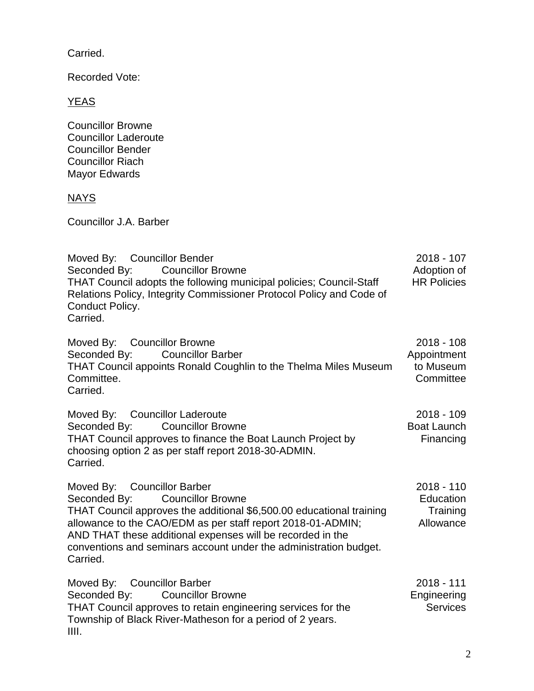Carried.

Recorded Vote:

YEAS

Councillor Browne Councillor Laderoute Councillor Bender Councillor Riach Mayor Edwards

## NAYS

Councillor J.A. Barber

Moved By: Councillor Bender Seconded By: Councillor Browne THAT Council adopts the following municipal policies; Council-Staff Relations Policy, Integrity Commissioner Protocol Policy and Code of Conduct Policy. Carried. 2018 - 107 Adoption of HR Policies Moved By: Councillor Browne 2018 - 108

Seconded By: Councillor Barber THAT Council appoints Ronald Coughlin to the Thelma Miles Museum Committee. Carried. Appointment to Museum **Committee** 

Moved By: Councillor Laderoute Seconded By: Councillor Browne THAT Council approves to finance the Boat Launch Project by choosing option 2 as per staff report 2018-30-ADMIN. Carried. 2018 - 109 Boat Launch Financing

Moved By: Councillor Barber Seconded By: Councillor Browne THAT Council approves the additional \$6,500.00 educational training allowance to the CAO/EDM as per staff report 2018-01-ADMIN; AND THAT these additional expenses will be recorded in the conventions and seminars account under the administration budget. Carried. 2018 - 110 **Education Training** Allowance

| Moved By: Councillor Barber                                  | 2018 - 111      |
|--------------------------------------------------------------|-----------------|
| Seconded By: Councillor Browne                               | Engineering     |
| THAT Council approves to retain engineering services for the | <b>Services</b> |
| Township of Black River-Matheson for a period of 2 years.    |                 |
| IIII.                                                        |                 |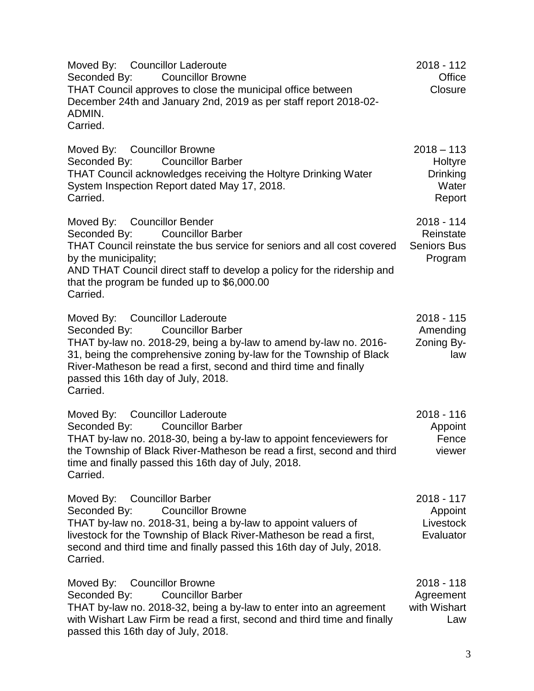Moved By: Councillor Laderoute Seconded By: Councillor Browne THAT Council approves to close the municipal office between December 24th and January 2nd, 2019 as per staff report 2018-02- ADMIN. Carried. 2018 - 112 **Office Closure** Moved By: Councillor Browne Seconded By: Councillor Barber THAT Council acknowledges receiving the Holtyre Drinking Water System Inspection Report dated May 17, 2018. Carried.  $2018 - 113$ **Holtyre** Drinking **Water** Report Moved By: Councillor Bender Seconded By: Councillor Barber THAT Council reinstate the bus service for seniors and all cost covered by the municipality; AND THAT Council direct staff to develop a policy for the ridership and that the program be funded up to \$6,000.00 Carried. 2018 - 114 Reinstate Seniors Bus Program Moved By: Councillor Laderoute Seconded By: Councillor Barber THAT by-law no. 2018-29, being a by-law to amend by-law no. 2016- 31, being the comprehensive zoning by-law for the Township of Black River-Matheson be read a first, second and third time and finally passed this 16th day of July, 2018. Carried. 2018 - 115 Amending Zoning Bylaw Moved By: Councillor Laderoute Seconded By: Councillor Barber THAT by-law no. 2018-30, being a by-law to appoint fenceviewers for the Township of Black River-Matheson be read a first, second and third time and finally passed this 16th day of July, 2018. Carried. 2018 - 116 Appoint Fence viewer Moved By: Councillor Barber Seconded By: Councillor Browne THAT by-law no. 2018-31, being a by-law to appoint valuers of livestock for the Township of Black River-Matheson be read a first, second and third time and finally passed this 16th day of July, 2018. Carried. 2018 - 117 Appoint **Livestock Evaluator** Moved By: Councillor Browne Seconded By: Councillor Barber THAT by-law no. 2018-32, being a by-law to enter into an agreement with Wishart Law Firm be read a first, second and third time and finally passed this 16th day of July, 2018. 2018 - 118 Agreement with Wishart Law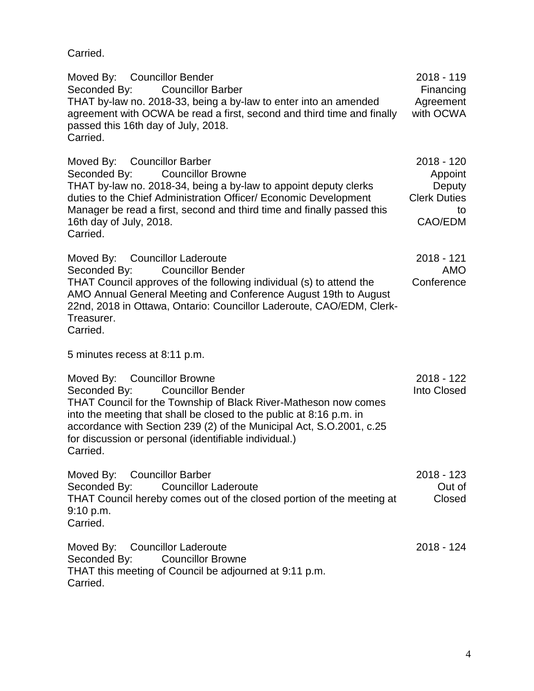Carried.

Moved By: Councillor Bender Seconded By: Councillor Barber THAT by-law no. 2018-33, being a by-law to enter into an amended agreement with OCWA be read a first, second and third time and finally passed this 16th day of July, 2018. Carried. 2018 - 119 Financing Agreement with OCWA Moved By: Councillor Barber Seconded By: Councillor Browne THAT by-law no. 2018-34, being a by-law to appoint deputy clerks duties to the Chief Administration Officer/ Economic Development Manager be read a first, second and third time and finally passed this 16th day of July, 2018. Carried. 2018 - 120 Appoint **Deputy** Clerk Duties to CAO/EDM Moved By: Councillor Laderoute Seconded By: Councillor Bender THAT Council approves of the following individual (s) to attend the AMO Annual General Meeting and Conference August 19th to August 22nd, 2018 in Ottawa, Ontario: Councillor Laderoute, CAO/EDM, Clerk-Treasurer. Carried. 5 minutes recess at 8:11 p.m. 2018 - 121 AMO **Conference** Moved By: Councillor Browne Seconded By: Councillor Bender THAT Council for the Township of Black River-Matheson now comes into the meeting that shall be closed to the public at 8:16 p.m. in accordance with Section 239 (2) of the Municipal Act, S.O.2001, c.25 for discussion or personal (identifiable individual.) Carried. 2018 - 122 Into Closed Moved By: Councillor Barber Seconded By: Councillor Laderoute THAT Council hereby comes out of the closed portion of the meeting at 9:10 p.m. Carried. 2018 - 123 Out of Closed Moved By: Councillor Laderoute Seconded By: Councillor Browne THAT this meeting of Council be adjourned at 9:11 p.m. Carried. 2018 - 124